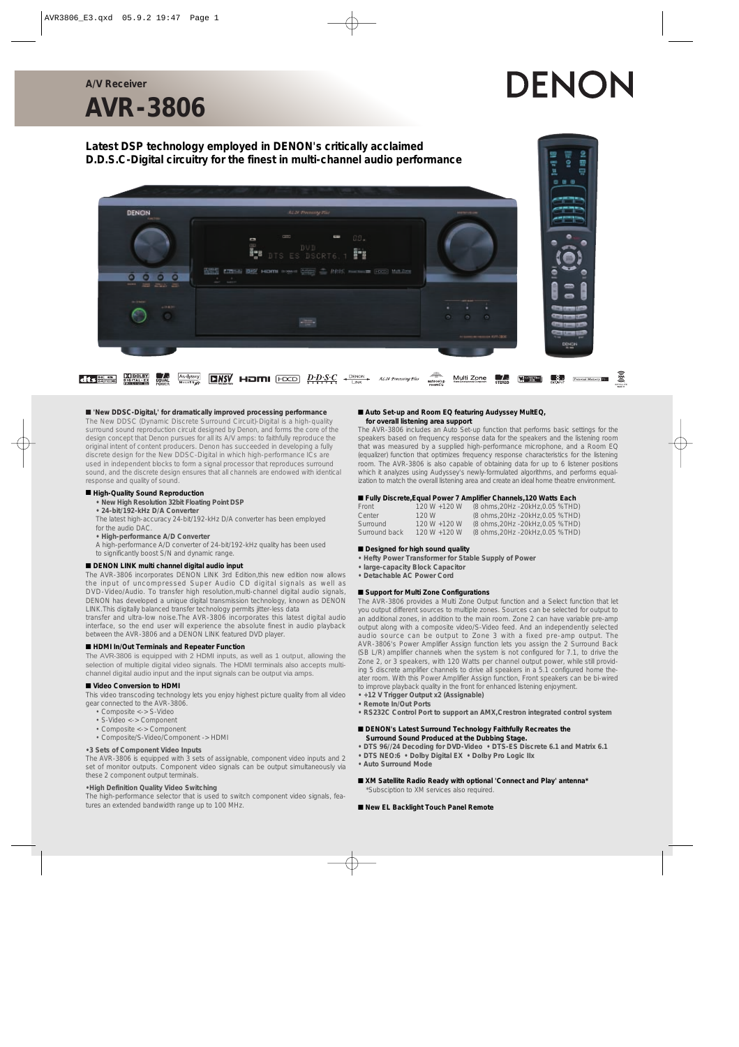#### **A/V Receiver**

# DENON

# **AVR-3806**

# **Latest DSP technology employed in DENON's critically acclaimed D.D.S.C-Digital circuitry for the finest in multi-channel audio performance**



#### ■ **'New DDSC-Digital,' for dramatically improved processing performance**

The New DDSC (Dynamic Discrete Surround Circuit)-Digital is a high-quality surround sound reproduction circuit designed by Denon, and forms the core of the design concept that Denon pursues for all its A/V amps: to faithfully reproduce the original intent of content producers. Denon has succeeded in developing a fully discrete design for the New DDSC-Digital in which high-performance ICs are used in independent blocks to form a signal processor that reproduces surround sound, and the discrete design ensures that all channels are endowed with identical response and quality of sound.

#### ■ **High-Quality Sound Reproduction**

- **New High Resolution 32bit Floating Point DSP**
- **24-bit/192-kHz D/A Converter**
- The latest high-accuracy 24-bit/192-kHz D/A converter has been employed for the audio DAC.
- **High-performance A/D Converter**
- A high-performance A/D converter of 24-bit/192-kHz quality has been used
- to significantly boost S/N and dynamic range.

#### ■ **DENON LINK** multi channel digital audio input

The AVR-3806 incorporates DENON LINK 3rd Edition,this new edition now allows the input of uncompressed Super Audio CD digital signals as well as DVD-Video/Audio. To transfer high resolution,multi-channel digital audio signals, DENON has developed a unique digital transmission technology, known as DENON LINK.This digitally balanced transfer technology permits jitter-less data

transfer and ultra-low noise.The AVR-3806 incorporates this latest digital audio interface, so the end user will experience the absolute finest in audio playback between the AVR-3806 and a DENON LINK featured DVD player.

#### ■ **HDMI In/Out Terminals and Repeater Function**

The AVR-3806 is equipped with 2 HDMI inputs, as well as 1 output, allowing the selection of multiple digital video signals. The HDMI terminals also accepts multichannel digital audio input and the input signals can be output via amps.

#### ■ **Video Conversion to HDMI**

This video transcoding technology lets you enjoy highest picture quality from all video gear connected to the AVR-3806.

- Composite <-> S-Video
- S-Video <-> Component
- Composite <-> Component
- Composite/S-Video/Component -> HDMI

#### **•3 Sets of Component Video Inputs**

The AVR-3806 is equipped with 3 sets of assignable, component video inputs and 2 set of monitor outputs. Component video signals can be output simultaneously via these 2 component output terminals.

#### **•High Definition Quality Video Switching**

The high-performance selector that is used to switch component video signals, features an extended bandwidth range up to 100 MHz.

#### ■ Auto Set-up and Room EQ featuring Audyssey MultEQ, **for overall listening area support**

The AVR-3806 includes an Auto Set-up function that performs basic settings for the speakers based on frequency response data for the speakers and the listening room that was measured by a supplied high-performance microphone, and a Room EQ (equalizer) function that optimizes frequency response characteristics for the listening room. The AVR-3806 is also capable of obtaining data for up to 6 listener positions which it analyzes using Audyssey's newly-formulated algorithms, and performs equalization to match the overall listening area and create an ideal home theatre environment.

#### ■ **Fully Discrete, Equal Power 7 Amplifier Channels, 120 Watts Each**

| Front         | $120 W + 120 W$ | (8 ohms, 20Hz - 20kHz, 0.05 %THD) |
|---------------|-----------------|-----------------------------------|
| Center        | 120 W           | (8 ohms, 20Hz - 20kHz, 0.05 %THD) |
| Surround      | $120 W + 120 W$ | (8 ohms, 20Hz - 20kHz, 0.05 %THD) |
| Surround back | $120 W + 120 W$ | (8 ohms, 20Hz - 20kHz, 0.05 %THD) |

#### ■ **Designed for high sound quality**

- **Hefty Power Transformer for Stable Supply of Power**
- **large-capacity Block Capacitor**
- **Detachable AC Power Cord**

### ■ **Support for Multi Zone Configurations**

The AVR-3806 provides a Multi Zone Output function and a Select function that let you output different sources to multiple zones. Sources can be selected for output to an additional zones, in addition to the main room. Zone 2 can have variable pre-amp output along with a composite video/S-Video feed. And an independently selected audio source can be output to Zone 3 with a fixed pre-amp output. The AVR-3806's Power Amplifier Assign function lets you assign the 2 Surround Back (SB L/R) amplifier channels when the system is not configured for 7.1, to drive the Zone 2, or 3 speakers, with 120 Watts per channel output power, while still providing 5 discrete amplifier channels to drive all speakers in a 5.1 configured home theater room. With this Power Amplifier Assign function, Front speakers can be bi-wired to improve playback quality in the front for enhanced listening enjoyment.

- **+12 V Trigger Output x2 (Assignable) • Remote In/Out Ports**
- **RS232C Control Port to support an AMX,Crestron integrated control system**

#### ■ **DENON's Latest Surround Technology Faithfully Recreates the Surround Sound Produced at the Dubbing Stage.**

- **DTS 96//24 Decoding for DVD-Video DTS-ES Discrete 6.1 and Matrix 6.1**
- **DTS NEO:6 Dolby Digital EX Dolby Pro Logic IIx**
- **Auto Surround Mode**
- XM Satellite Radio Ready with optional 'Connect and Play' antenna<sup>\*</sup> \*Subsciption to XM services also required.

#### ■ New EL Backlight Touch Panel Remote